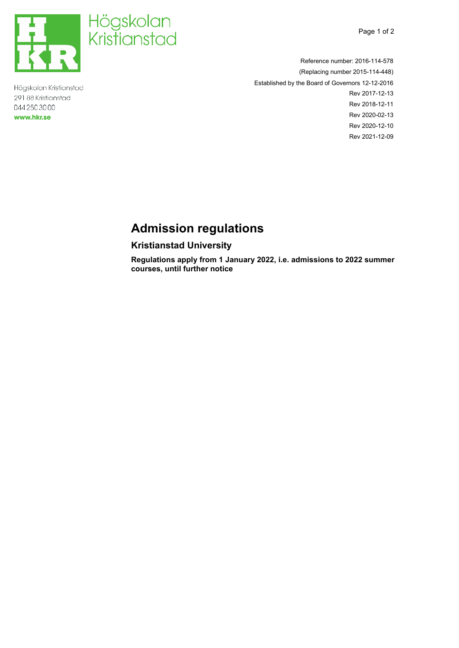



Högskolan Kristianstad 291 88 Kristianstad 044 2503000 **www.hkr.se** 



Reference number: 2016-114-578 (Replacing number 2015-114-448) Established by the Board of Governors 12-12-2016 Rev 2017-12-13 Rev 2018-12-11 Rev 2020-02-13 Rev 2020-12-10 Rev 2021-12-09

# <span id="page-0-0"></span>**Admission regulations**

# <span id="page-0-2"></span><span id="page-0-1"></span>**Kristianstad University**

**Regulations apply from 1 January 2022, i.e. admissions to 2022 summer courses, until further notice**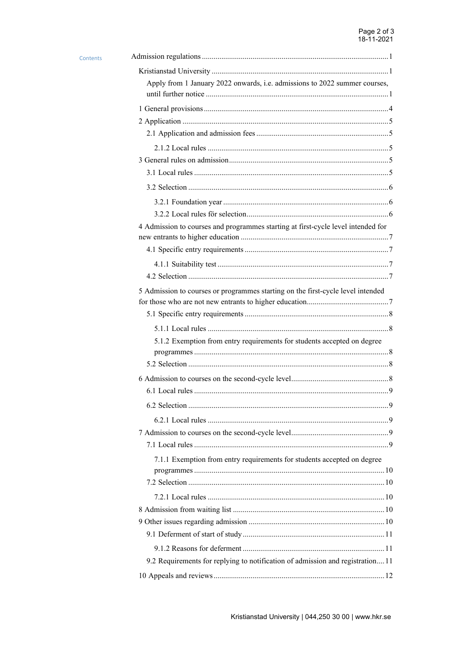| Contents |                                                                                  |
|----------|----------------------------------------------------------------------------------|
|          |                                                                                  |
|          | Apply from 1 January 2022 onwards, i.e. admissions to 2022 summer courses,       |
|          |                                                                                  |
|          |                                                                                  |
|          |                                                                                  |
|          |                                                                                  |
|          |                                                                                  |
|          |                                                                                  |
|          |                                                                                  |
|          |                                                                                  |
|          |                                                                                  |
|          | 4 Admission to courses and programmes starting at first-cycle level intended for |
|          |                                                                                  |
|          |                                                                                  |
|          |                                                                                  |
|          | 5 Admission to courses or programmes starting on the first-cycle level intended  |
|          |                                                                                  |
|          |                                                                                  |
|          | 5.1.2 Exemption from entry requirements for students accepted on degree          |
|          |                                                                                  |
|          |                                                                                  |
|          |                                                                                  |
|          |                                                                                  |
|          |                                                                                  |
|          |                                                                                  |
|          |                                                                                  |
|          | 7.1.1 Exemption from entry requirements for students accepted on degree          |
|          |                                                                                  |
|          |                                                                                  |
|          |                                                                                  |
|          |                                                                                  |
|          |                                                                                  |
|          |                                                                                  |
|          |                                                                                  |
|          | 9.2 Requirements for replying to notification of admission and registration 11   |
|          |                                                                                  |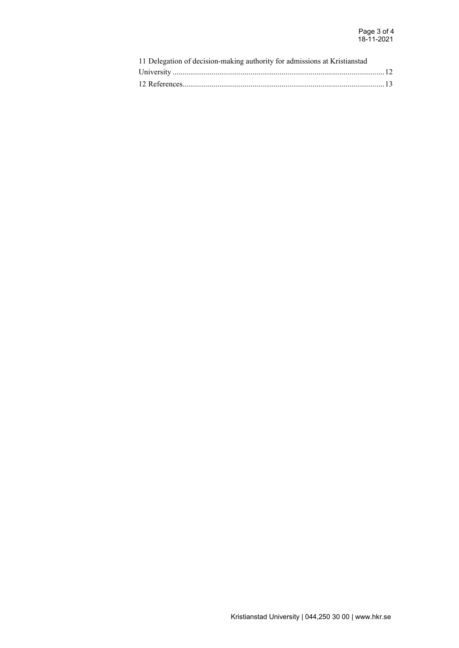| 11 Delegation of decision-making authority for admissions at Kristianstad |  |
|---------------------------------------------------------------------------|--|
|                                                                           |  |
|                                                                           |  |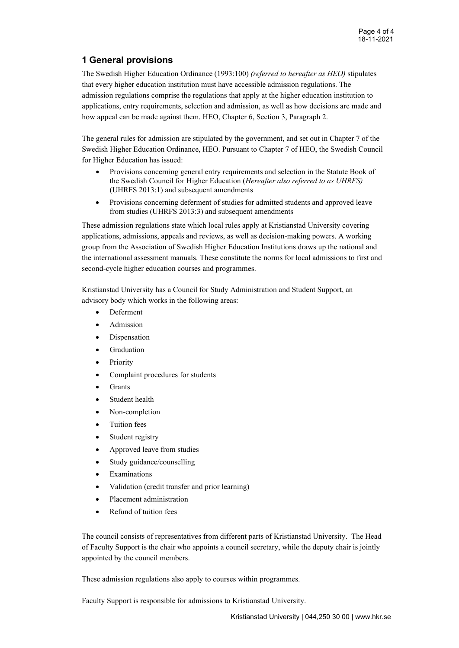# <span id="page-3-0"></span>**1 General provisions**

The Swedish Higher Education Ordinance (1993:100) *(referred to hereafter as HEO)* stipulates that every higher education institution must have accessible admission regulations. The admission regulations comprise the regulations that apply at the higher education institution to applications, entry requirements, selection and admission, as well as how decisions are made and how appeal can be made against them. HEO, Chapter 6, Section 3, Paragraph 2.

The general rules for admission are stipulated by the government, and set out in Chapter 7 of the Swedish Higher Education Ordinance, HEO. Pursuant to Chapter 7 of HEO, the Swedish Council for Higher Education has issued:

- Provisions concerning general entry requirements and selection in the Statute Book of the Swedish Council for Higher Education (*Hereafter also referred to as UHRFS)* (UHRFS 2013:1) and subsequent amendments
- Provisions concerning deferment of studies for admitted students and approved leave from studies (UHRFS 2013:3) and subsequent amendments

These admission regulations state which local rules apply at Kristianstad University covering applications, admissions, appeals and reviews, as well as decision-making powers. A working group from the Association of Swedish Higher Education Institutions draws up the national and the international assessment manuals. These constitute the norms for local admissions to first and second-cycle higher education courses and programmes.

Kristianstad University has a Council for Study Administration and Student Support, an advisory body which works in the following areas:

- Deferment
- Admission
- **Dispensation**
- **Graduation**
- **Priority**
- Complaint procedures for students
- **Grants**
- Student health
- Non-completion
- Tuition fees
- Student registry
- Approved leave from studies
- Study guidance/counselling
- **Examinations**
- Validation (credit transfer and prior learning)
- Placement administration
- Refund of tuition fees

The council consists of representatives from different parts of Kristianstad University. The Head of Faculty Support is the chair who appoints a council secretary, while the deputy chair is jointly appointed by the council members.

These admission regulations also apply to courses within programmes.

Faculty Support is responsible for admissions to Kristianstad University.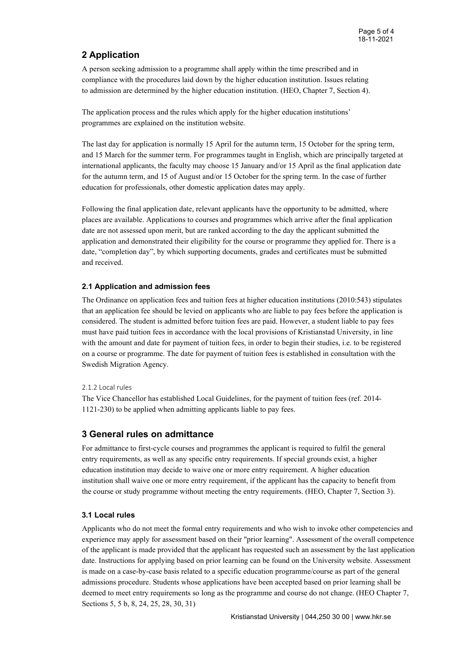# <span id="page-4-0"></span>**2 Application**

A person seeking admission to a programme shall apply within the time prescribed and in compliance with the procedures laid down by the higher education institution. Issues relating to admission are determined by the higher education institution. (HEO, Chapter 7, Section 4).

The application process and the rules which apply for the higher education institutions' programmes are explained on the institution website.

The last day for application is normally 15 April for the autumn term, 15 October for the spring term, and 15 March for the summer term. For programmes taught in English, which are principally targeted at international applicants, the faculty may choose 15 January and/or 15 April as the final application date for the autumn term, and 15 of August and/or 15 October for the spring term. In the case of further education for professionals, other domestic application dates may apply.

Following the final application date, relevant applicants have the opportunity to be admitted, where places are available. Applications to courses and programmes which arrive after the final application date are not assessed upon merit, but are ranked according to the day the applicant submitted the application and demonstrated their eligibility for the course or programme they applied for. There is a date, "completion day", by which supporting documents, grades and certificates must be submitted and received.

### <span id="page-4-1"></span>**2.1 Application and admission fees**

The Ordinance on application fees and tuition fees at higher education institutions (2010:543) stipulates that an application fee should be levied on applicants who are liable to pay fees before the application is considered. The student is admitted before tuition fees are paid. However, a student liable to pay fees must have paid tuition fees in accordance with the local provisions of Kristianstad University, in line with the amount and date for payment of tuition fees, in order to begin their studies, i.e. to be registered on a course or programme. The date for payment of tuition fees is established in consultation with the Swedish Migration Agency.

### <span id="page-4-2"></span>2.1.2 Local rules

The Vice Chancellor has established Local Guidelines, for the payment of tuition fees (ref. 2014- 1121-230) to be applied when admitting applicants liable to pay fees.

### <span id="page-4-3"></span>**3 General rules on admittance**

For admittance to first-cycle courses and programmes the applicant is required to fulfil the general entry requirements, as well as any specific entry requirements. If special grounds exist, a higher education institution may decide to waive one or more entry requirement. A higher education institution shall waive one or more entry requirement, if the applicant has the capacity to benefit from the course or study programme without meeting the entry requirements. (HEO, Chapter 7, Section 3).

### <span id="page-4-4"></span>**3.1 Local rules**

Applicants who do not meet the formal entry requirements and who wish to invoke other competencies and experience may apply for assessment based on their "prior learning". Assessment of the overall competence of the applicant is made provided that the applicant has requested such an assessment by the last application date. Instructions for applying based on prior learning can be found on the University website. Assessment is made on a case-by-case basis related to a specific education programme/course as part of the general admissions procedure. Students whose applications have been accepted based on prior learning shall be deemed to meet entry requirements so long as the programme and course do not change. (HEO Chapter 7, Sections 5, 5 b, 8, 24, 25, 28, 30, 31)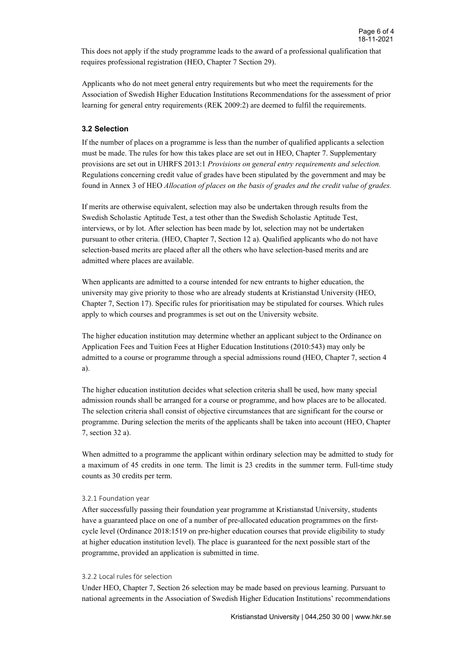This does not apply if the study programme leads to the award of a professional qualification that requires professional registration (HEO, Chapter 7 Section 29).

Applicants who do not meet general entry requirements but who meet the requirements for the Association of Swedish Higher Education Institutions Recommendations for the assessment of prior learning for general entry requirements (REK 2009:2) are deemed to fulfil the requirements.

### <span id="page-5-0"></span>**3.2 Selection**

If the number of places on a programme is less than the number of qualified applicants a selection must be made. The rules for how this takes place are set out in HEO, Chapter 7. Supplementary provisions are set out in UHRFS 2013:1 *Provisions on general entry requirements and selection.*  Regulations concerning credit value of grades have been stipulated by the government and may be found in Annex 3 of HEO *Allocation of places on the basis of grades and the credit value of grades.*

If merits are otherwise equivalent, selection may also be undertaken through results from the Swedish Scholastic Aptitude Test, a test other than the Swedish Scholastic Aptitude Test, interviews, or by lot. After selection has been made by lot, selection may not be undertaken pursuant to other criteria. (HEO, Chapter 7, Section 12 a). Qualified applicants who do not have selection-based merits are placed after all the others who have selection-based merits and are admitted where places are available.

When applicants are admitted to a course intended for new entrants to higher education, the university may give priority to those who are already students at Kristianstad University (HEO, Chapter 7, Section 17). Specific rules for prioritisation may be stipulated for courses. Which rules apply to which courses and programmes is set out on the University website.

The higher education institution may determine whether an applicant subject to the Ordinance on Application Fees and Tuition Fees at Higher Education Institutions (2010:543) may only be admitted to a course or programme through a special admissions round (HEO, Chapter 7, section 4 a).

The higher education institution decides what selection criteria shall be used, how many special admission rounds shall be arranged for a course or programme, and how places are to be allocated. The selection criteria shall consist of objective circumstances that are significant for the course or programme. During selection the merits of the applicants shall be taken into account (HEO, Chapter 7, section 32 a).

When admitted to a programme the applicant within ordinary selection may be admitted to study for a maximum of 45 credits in one term. The limit is 23 credits in the summer term. Full-time study counts as 30 credits per term.

#### <span id="page-5-1"></span>3.2.1 Foundation year

After successfully passing their foundation year programme at Kristianstad University, students have a guaranteed place on one of a number of pre-allocated education programmes on the firstcycle level (Ordinance 2018:1519 on pre-higher education courses that provide eligibility to study at higher education institution level). The place is guaranteed for the next possible start of the programme, provided an application is submitted in time.

#### <span id="page-5-2"></span>3.2.2 Local rules för selection

Under HEO, Chapter 7, Section 26 selection may be made based on previous learning. Pursuant to national agreements in the Association of Swedish Higher Education Institutions' recommendations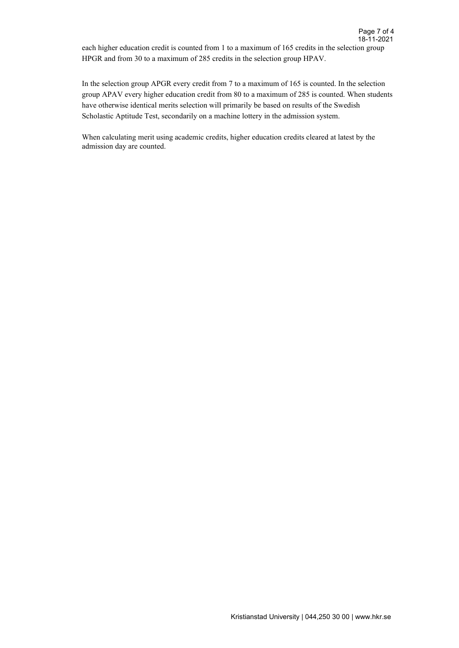each higher education credit is counted from 1 to a maximum of 165 credits in the selection group HPGR and from 30 to a maximum of 285 credits in the selection group HPAV.

In the selection group APGR every credit from 7 to a maximum of 165 is counted. In the selection group APAV every higher education credit from 80 to a maximum of 285 is counted. When students have otherwise identical merits selection will primarily be based on results of the Swedish Scholastic Aptitude Test, secondarily on a machine lottery in the admission system.

When calculating merit using academic credits, higher education credits cleared at latest by the admission day are counted.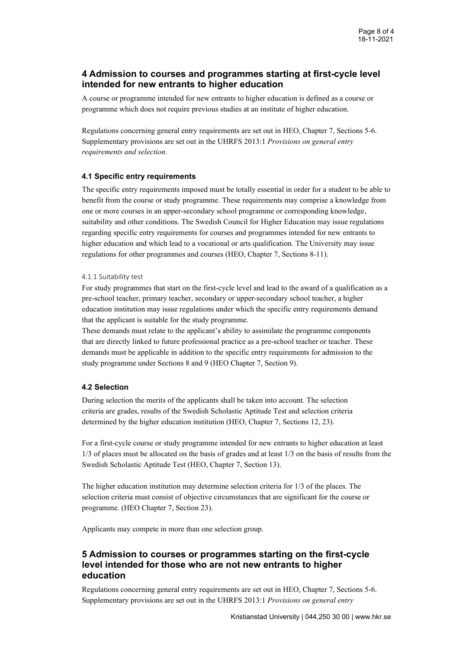# <span id="page-7-0"></span>**4 Admission to courses and programmes starting at first-cycle level intended for new entrants to higher education**

A course or programme intended for new entrants to higher education is defined as a course or programme which does not require previous studies at an institute of higher education.

Regulations concerning general entry requirements are set out in HEO, Chapter 7, Sections 5-6. Supplementary provisions are set out in the UHRFS 2013:1 *Provisions on general entry requirements and selection.*

### <span id="page-7-1"></span>**4.1 Specific entry requirements**

The specific entry requirements imposed must be totally essential in order for a student to be able to benefit from the course or study programme. These requirements may comprise a knowledge from one or more courses in an upper-secondary school programme or corresponding knowledge, suitability and other conditions. The Swedish Council for Higher Education may issue regulations regarding specific entry requirements for courses and programmes intended for new entrants to higher education and which lead to a vocational or arts qualification. The University may issue regulations for other programmes and courses (HEO, Chapter 7, Sections 8-11).

### <span id="page-7-2"></span>4.1.1 Suitability test

For study programmes that start on the first-cycle level and lead to the award of a qualification as a pre-school teacher, primary teacher, secondary or upper-secondary school teacher, a higher education institution may issue regulations under which the specific entry requirements demand that the applicant is suitable for the study programme.

These demands must relate to the applicant's ability to assimilate the programme components that are directly linked to future professional practice as a pre-school teacher or teacher. These demands must be applicable in addition to the specific entry requirements for admission to the study programme under Sections 8 and 9 (HEO Chapter 7, Section 9).

### <span id="page-7-3"></span>**4.2 Selection**

During selection the merits of the applicants shall be taken into account. The selection criteria are grades, results of the Swedish Scholastic Aptitude Test and selection criteria determined by the higher education institution (HEO, Chapter 7, Sections 12, 23).

For a first-cycle course or study programme intended for new entrants to higher education at least 1/3 of places must be allocated on the basis of grades and at least 1/3 on the basis of results from the Swedish Scholastic Aptitude Test (HEO, Chapter 7, Section 13).

The higher education institution may determine selection criteria for 1/3 of the places. The selection criteria must consist of objective circumstances that are significant for the course or programme. (HEO Chapter 7, Section 23).

Applicants may compete in more than one selection group.

## <span id="page-7-4"></span>**5 Admission to courses or programmes starting on the first-cycle level intended for those who are not new entrants to higher education**

Regulations concerning general entry requirements are set out in HEO, Chapter 7, Sections 5-6. Supplementary provisions are set out in the UHRFS 2013:1 *Provisions on general entry*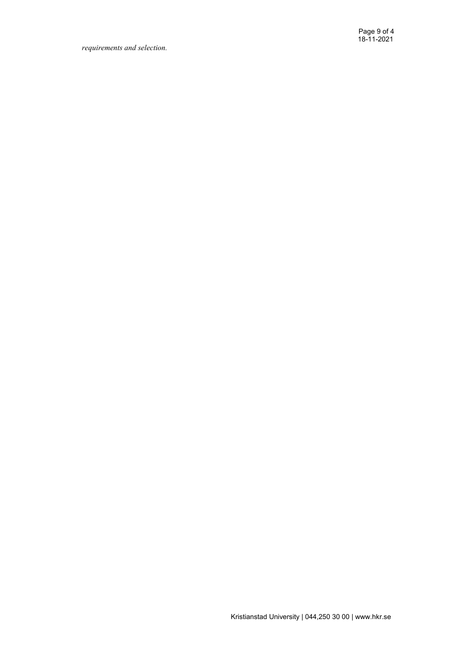*requirements and selection.*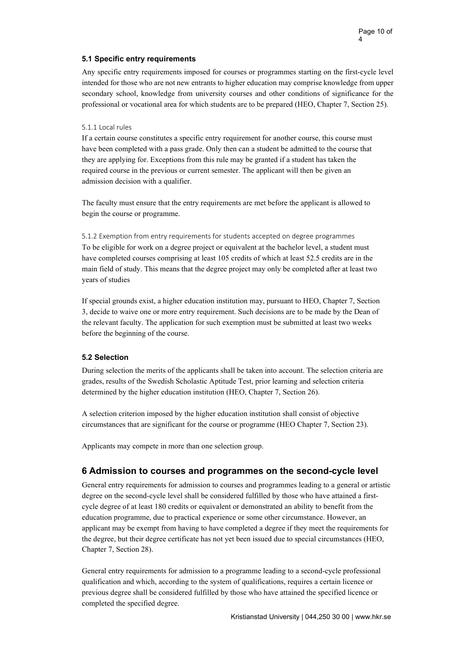### <span id="page-9-0"></span>**5.1 Specific entry requirements**

Any specific entry requirements imposed for courses or programmes starting on the first-cycle level intended for those who are not new entrants to higher education may comprise knowledge from upper secondary school, knowledge from university courses and other conditions of significance for the professional or vocational area for which students are to be prepared (HEO, Chapter 7, Section 25).

#### <span id="page-9-1"></span>5.1.1 Local rules

If a certain course constitutes a specific entry requirement for another course, this course must have been completed with a pass grade. Only then can a student be admitted to the course that they are applying for. Exceptions from this rule may be granted if a student has taken the required course in the previous or current semester. The applicant will then be given an admission decision with a qualifier.

The faculty must ensure that the entry requirements are met before the applicant is allowed to begin the course or programme.

<span id="page-9-2"></span>5.1.2 Exemption from entry requirements for students accepted on degree programmes To be eligible for work on a degree project or equivalent at the bachelor level, a student must have completed courses comprising at least 105 credits of which at least 52.5 credits are in the main field of study. This means that the degree project may only be completed after at least two years of studies

If special grounds exist, a higher education institution may, pursuant to HEO, Chapter 7, Section 3, decide to waive one or more entry requirement. Such decisions are to be made by the Dean of the relevant faculty. The application for such exemption must be submitted at least two weeks before the beginning of the course.

### <span id="page-9-3"></span>**5.2 Selection**

During selection the merits of the applicants shall be taken into account. The selection criteria are grades, results of the Swedish Scholastic Aptitude Test, prior learning and selection criteria determined by the higher education institution (HEO, Chapter 7, Section 26).

A selection criterion imposed by the higher education institution shall consist of objective circumstances that are significant for the course or programme (HEO Chapter 7, Section 23).

Applicants may compete in more than one selection group.

### <span id="page-9-4"></span>**6 Admission to courses and programmes on the second-cycle level**

General entry requirements for admission to courses and programmes leading to a general or artistic degree on the second-cycle level shall be considered fulfilled by those who have attained a firstcycle degree of at least 180 credits or equivalent or demonstrated an ability to benefit from the education programme, due to practical experience or some other circumstance. However, an applicant may be exempt from having to have completed a degree if they meet the requirements for the degree, but their degree certificate has not yet been issued due to special circumstances (HEO, Chapter 7, Section 28).

General entry requirements for admission to a programme leading to a second-cycle professional qualification and which, according to the system of qualifications, requires a certain licence or previous degree shall be considered fulfilled by those who have attained the specified licence or completed the specified degree.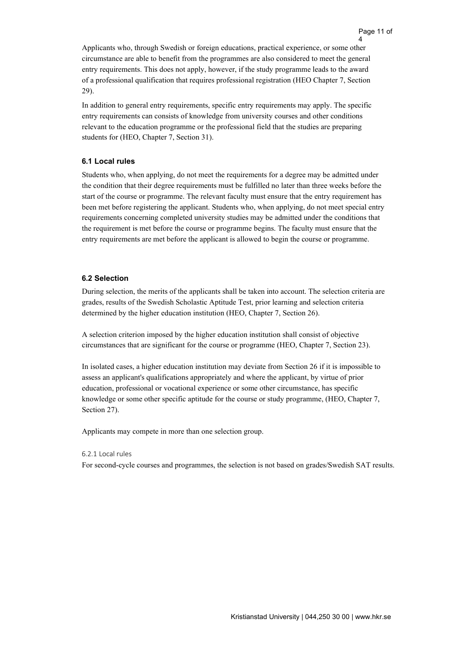4

Applicants who, through Swedish or foreign educations, practical experience, or some other circumstance are able to benefit from the programmes are also considered to meet the general entry requirements. This does not apply, however, if the study programme leads to the award of a professional qualification that requires professional registration (HEO Chapter 7, Section 29).

In addition to general entry requirements, specific entry requirements may apply. The specific entry requirements can consists of knowledge from university courses and other conditions relevant to the education programme or the professional field that the studies are preparing students for (HEO, Chapter 7, Section 31).

#### <span id="page-10-0"></span>**6.1 Local rules**

Students who, when applying, do not meet the requirements for a degree may be admitted under the condition that their degree requirements must be fulfilled no later than three weeks before the start of the course or programme. The relevant faculty must ensure that the entry requirement has been met before registering the applicant. Students who, when applying, do not meet special entry requirements concerning completed university studies may be admitted under the conditions that the requirement is met before the course or programme begins. The faculty must ensure that the entry requirements are met before the applicant is allowed to begin the course or programme.

#### <span id="page-10-1"></span>**6.2 Selection**

During selection, the merits of the applicants shall be taken into account. The selection criteria are grades, results of the Swedish Scholastic Aptitude Test, prior learning and selection criteria determined by the higher education institution (HEO, Chapter 7, Section 26).

A selection criterion imposed by the higher education institution shall consist of objective circumstances that are significant for the course or programme (HEO, Chapter 7, Section 23).

In isolated cases, a higher education institution may deviate from Section 26 if it is impossible to assess an applicant's qualifications appropriately and where the applicant, by virtue of prior education, professional or vocational experience or some other circumstance, has specific knowledge or some other specific aptitude for the course or study programme, (HEO, Chapter 7, Section 27).

Applicants may compete in more than one selection group.

#### <span id="page-10-2"></span>6.2.1 Local rules

For second-cycle courses and programmes, the selection is not based on grades/Swedish SAT results.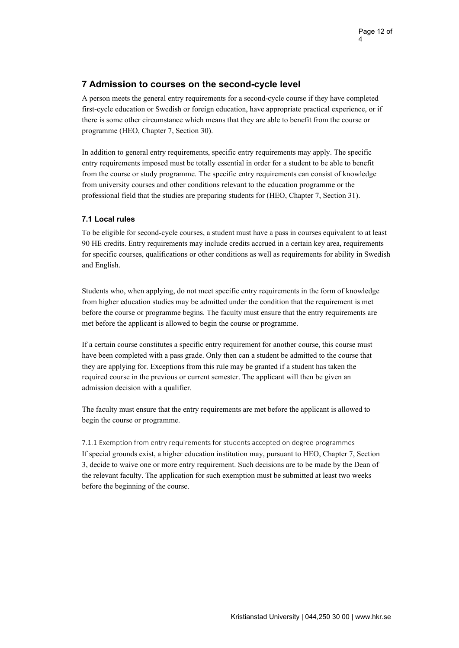# <span id="page-11-0"></span>**7 Admission to courses on the second-cycle level**

A person meets the general entry requirements for a second-cycle course if they have completed first-cycle education or Swedish or foreign education, have appropriate practical experience, or if there is some other circumstance which means that they are able to benefit from the course or programme (HEO, Chapter 7, Section 30).

In addition to general entry requirements, specific entry requirements may apply. The specific entry requirements imposed must be totally essential in order for a student to be able to benefit from the course or study programme. The specific entry requirements can consist of knowledge from university courses and other conditions relevant to the education programme or the professional field that the studies are preparing students for (HEO, Chapter 7, Section 31).

### <span id="page-11-1"></span>**7.1 Local rules**

To be eligible for second-cycle courses, a student must have a pass in courses equivalent to at least 90 HE credits. Entry requirements may include credits accrued in a certain key area, requirements for specific courses, qualifications or other conditions as well as requirements for ability in Swedish and English.

Students who, when applying, do not meet specific entry requirements in the form of knowledge from higher education studies may be admitted under the condition that the requirement is met before the course or programme begins. The faculty must ensure that the entry requirements are met before the applicant is allowed to begin the course or programme.

If a certain course constitutes a specific entry requirement for another course, this course must have been completed with a pass grade. Only then can a student be admitted to the course that they are applying for. Exceptions from this rule may be granted if a student has taken the required course in the previous or current semester. The applicant will then be given an admission decision with a qualifier.

The faculty must ensure that the entry requirements are met before the applicant is allowed to begin the course or programme.

<span id="page-11-2"></span>7.1.1 Exemption from entry requirements for students accepted on degree programmes If special grounds exist, a higher education institution may, pursuant to HEO, Chapter 7, Section 3, decide to waive one or more entry requirement. Such decisions are to be made by the Dean of the relevant faculty. The application for such exemption must be submitted at least two weeks before the beginning of the course.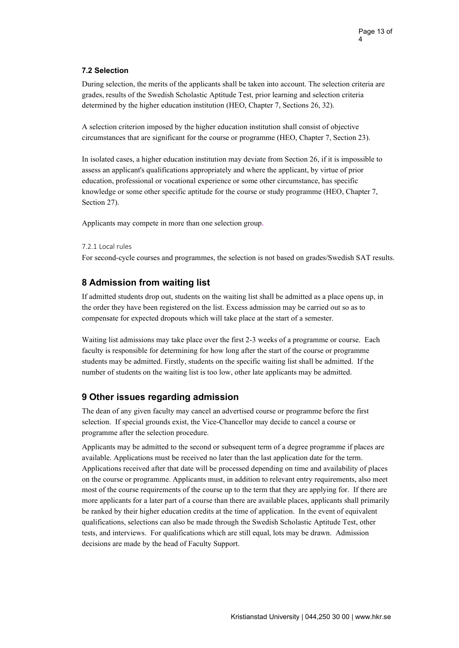### <span id="page-12-0"></span>**7.2 Selection**

During selection, the merits of the applicants shall be taken into account. The selection criteria are grades, results of the Swedish Scholastic Aptitude Test, prior learning and selection criteria determined by the higher education institution (HEO, Chapter 7, Sections 26, 32).

A selection criterion imposed by the higher education institution shall consist of objective circumstances that are significant for the course or programme (HEO, Chapter 7, Section 23).

In isolated cases, a higher education institution may deviate from Section 26, if it is impossible to assess an applicant's qualifications appropriately and where the applicant, by virtue of prior education, professional or vocational experience or some other circumstance, has specific knowledge or some other specific aptitude for the course or study programme (HEO, Chapter 7, Section 27).

Applicants may compete in more than one selection group.

### <span id="page-12-1"></span>7.2.1 Local rules

For second-cycle courses and programmes, the selection is not based on grades/Swedish SAT results.

# <span id="page-12-2"></span>**8 Admission from waiting list**

If admitted students drop out, students on the waiting list shall be admitted as a place opens up, in the order they have been registered on the list. Excess admission may be carried out so as to compensate for expected dropouts which will take place at the start of a semester.

Waiting list admissions may take place over the first 2-3 weeks of a programme or course. Each faculty is responsible for determining for how long after the start of the course or programme students may be admitted. Firstly, students on the specific waiting list shall be admitted. If the number of students on the waiting list is too low, other late applicants may be admitted.

# <span id="page-12-3"></span>**9 Other issues regarding admission**

The dean of any given faculty may cancel an advertised course or programme before the first selection. If special grounds exist, the Vice-Chancellor may decide to cancel a course or programme after the selection procedure.

Applicants may be admitted to the second or subsequent term of a degree programme if places are available. Applications must be received no later than the last application date for the term. Applications received after that date will be processed depending on time and availability of places on the course or programme. Applicants must, in addition to relevant entry requirements, also meet most of the course requirements of the course up to the term that they are applying for. If there are more applicants for a later part of a course than there are available places, applicants shall primarily be ranked by their higher education credits at the time of application. In the event of equivalent qualifications, selections can also be made through the Swedish Scholastic Aptitude Test, other tests, and interviews. For qualifications which are still equal, lots may be drawn. Admission decisions are made by the head of Faculty Support.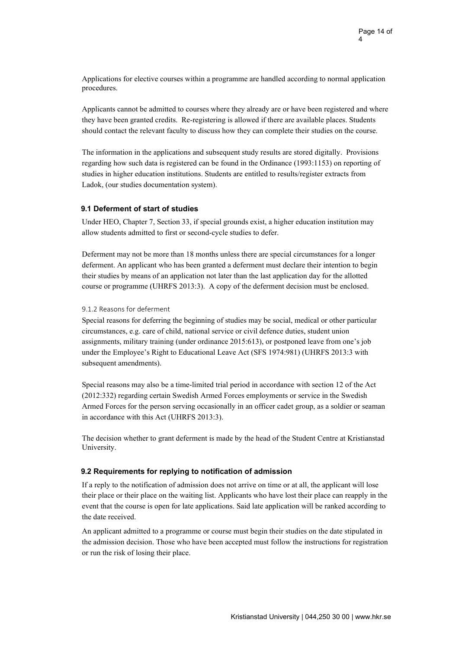Applications for elective courses within a programme are handled according to normal application procedures.

Applicants cannot be admitted to courses where they already are or have been registered and where they have been granted credits. Re-registering is allowed if there are available places. Students should contact the relevant faculty to discuss how they can complete their studies on the course.

The information in the applications and subsequent study results are stored digitally. Provisions regarding how such data is registered can be found in the Ordinance (1993:1153) on reporting of studies in higher education institutions. Students are entitled to results/register extracts from Ladok, (our studies documentation system).

### <span id="page-13-0"></span>**9.1 Deferment of start of studies**

Under HEO, Chapter 7, Section 33, if special grounds exist, a higher education institution may allow students admitted to first or second-cycle studies to defer.

Deferment may not be more than 18 months unless there are special circumstances for a longer deferment. An applicant who has been granted a deferment must declare their intention to begin their studies by means of an application not later than the last application day for the allotted course or programme (UHRFS 2013:3). A copy of the deferment decision must be enclosed.

### <span id="page-13-1"></span>9.1.2 Reasons for deferment

Special reasons for deferring the beginning of studies may be social, medical or other particular circumstances, e.g. care of child, national service or civil defence duties, student union assignments, military training (under ordinance 2015:613), or postponed leave from one's job under the Employee's Right to Educational Leave Act (SFS 1974:981) (UHRFS 2013:3 with subsequent amendments).

Special reasons may also be a time-limited trial period in accordance with section 12 of the Act (2012:332) regarding certain Swedish Armed Forces employments or service in the Swedish Armed Forces for the person serving occasionally in an officer cadet group, as a soldier or seaman in accordance with this Act (UHRFS 2013:3).

The decision whether to grant deferment is made by the head of the Student Centre at Kristianstad University.

### <span id="page-13-2"></span>**9.2 Requirements for replying to notification of admission**

If a reply to the notification of admission does not arrive on time or at all, the applicant will lose their place or their place on the waiting list. Applicants who have lost their place can reapply in the event that the course is open for late applications. Said late application will be ranked according to the date received.

An applicant admitted to a programme or course must begin their studies on the date stipulated in the admission decision. Those who have been accepted must follow the instructions for registration or run the risk of losing their place.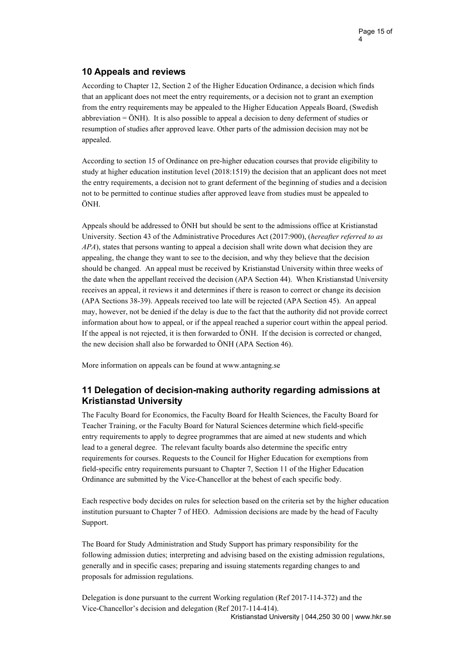# <span id="page-14-0"></span>**10 Appeals and reviews**

According to Chapter 12, Section 2 of the Higher Education Ordinance, a decision which finds that an applicant does not meet the entry requirements, or a decision not to grant an exemption from the entry requirements may be appealed to the Higher Education Appeals Board, (Swedish abbreviation = ÖNH). It is also possible to appeal a decision to deny deferment of studies or resumption of studies after approved leave. Other parts of the admission decision may not be appealed.

According to section 15 of Ordinance on pre-higher education courses that provide eligibility to study at higher education institution level (2018:1519) the decision that an applicant does not meet the entry requirements, a decision not to grant deferment of the beginning of studies and a decision not to be permitted to continue studies after approved leave from studies must be appealed to ÖNH.

Appeals should be addressed to ÖNH but should be sent to the admissions office at Kristianstad University. Section 43 of the Administrative Procedures Act (2017:900), (*hereafter referred to as APA*), states that persons wanting to appeal a decision shall write down what decision they are appealing, the change they want to see to the decision, and why they believe that the decision should be changed. An appeal must be received by Kristianstad University within three weeks of the date when the appellant received the decision (APA Section 44). When Kristianstad University receives an appeal, it reviews it and determines if there is reason to correct or change its decision (APA Sections 38-39). Appeals received too late will be rejected (APA Section 45). An appeal may, however, not be denied if the delay is due to the fact that the authority did not provide correct information about how to appeal, or if the appeal reached a superior court within the appeal period. If the appeal is not rejected, it is then forwarded to ÖNH. If the decision is corrected or changed, the new decision shall also be forwarded to ÖNH (APA Section 46).

More information on appeals can be found at [www.antagning.se](http://www.antagning.se/)

# <span id="page-14-1"></span>**11 Delegation of decision-making authority regarding admissions at Kristianstad University**

The Faculty Board for Economics, the Faculty Board for Health Sciences, the Faculty Board for Teacher Training, or the Faculty Board for Natural Sciences determine which field-specific entry requirements to apply to degree programmes that are aimed at new students and which lead to a general degree. The relevant faculty boards also determine the specific entry requirements for courses. Requests to the Council for Higher Education for exemptions from field-specific entry requirements pursuant to Chapter 7, Section 11 of the Higher Education Ordinance are submitted by the Vice-Chancellor at the behest of each specific body.

Each respective body decides on rules for selection based on the criteria set by the higher education institution pursuant to Chapter 7 of HEO. Admission decisions are made by the head of Faculty Support.

The Board for Study Administration and Study Support has primary responsibility for the following admission duties; interpreting and advising based on the existing admission regulations, generally and in specific cases; preparing and issuing statements regarding changes to and proposals for admission regulations.

Kristianstad University | 044,250 30 00 | [www.hkr.se](http://www.hkr.se/) Delegation is done pursuant to the current Working regulation (Ref 2017-114-372) and the Vice-Chancellor's decision and delegation (Ref 2017-114-414).